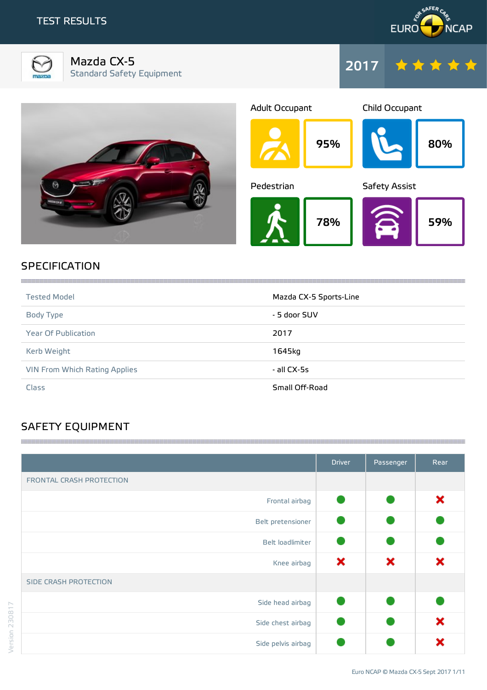



Mazda CX-5 Standard Safety Equipment





## **SPECIFICATION**

| <b>Tested Model</b>           | Mazda CX-5 Sports-Line |
|-------------------------------|------------------------|
| Body Type                     | - 5 door SUV           |
| <b>Year Of Publication</b>    | 2017                   |
| Kerb Weight                   | 1645kg                 |
| VIN From Which Rating Applies | - all CX-5s            |
| Class                         | Small Off-Road         |

## SAFETY EQUIPMENT

|                          | <b>Driver</b> | Passenger | Rear |
|--------------------------|---------------|-----------|------|
| FRONTAL CRASH PROTECTION |               |           |      |
| Frontal airbag           |               |           | ×    |
| Belt pretensioner        |               |           |      |
| Belt loadlimiter         |               |           |      |
| Knee airbag              | ×             | ×         | ×    |
| SIDE CRASH PROTECTION    |               |           |      |
| Side head airbag         |               |           |      |
| Side chest airbag        |               |           | ×    |
| Side pelvis airbag       |               |           | х    |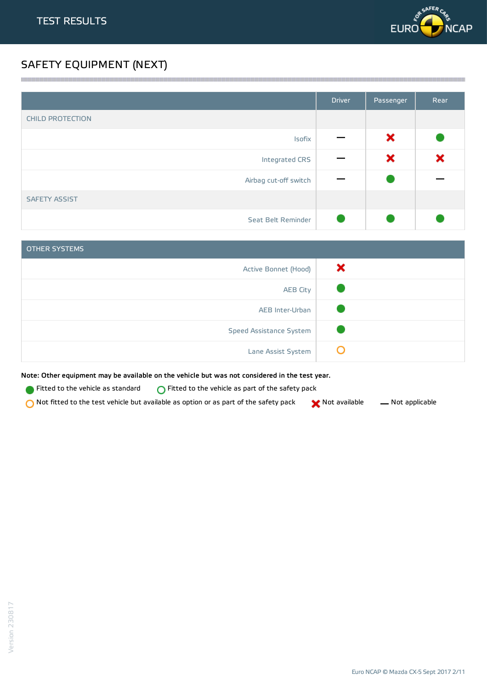

## SAFETY EQUIPMENT (NEXT)

|                         | <b>Driver</b> | Passenger | Rear |
|-------------------------|---------------|-----------|------|
| <b>CHILD PROTECTION</b> |               |           |      |
| Isofix                  |               | ×         |      |
| Integrated CRS          |               | ×         | ×    |
| Airbag cut-off switch   |               |           |      |
| <b>SAFETY ASSIST</b>    |               |           |      |
| Seat Belt Reminder      |               |           |      |

<u> 1989 - Andrea Stadt Stadt Stadt Stadt Stadt Stadt Stadt Stadt Stadt Stadt Stadt Stadt Stadt Stadt Stadt Stadt Stadt Stadt Stadt Stadt Stadt Stadt Stadt Stadt Stadt Stadt Stadt Stadt Stadt Stadt Stadt Stadt Stadt Stadt St</u>

| <b>OTHER SYSTEMS</b>    |   |
|-------------------------|---|
| Active Bonnet (Hood)    | × |
| <b>AEB City</b>         |   |
| AEB Inter-Urban         |   |
| Speed Assistance System |   |
| Lane Assist System      |   |

Note: Other equipment may be available on the vehicle but was not considered in the test year.

- **Fitted to the vehicle as standard**  $\bigcirc$  Fitted to the vehicle as part of the safety pack
- Not fitted to the test vehicle but available as option or as part of the safety pack  $\bigtimes$  Not available  $\qquad$  Not applicable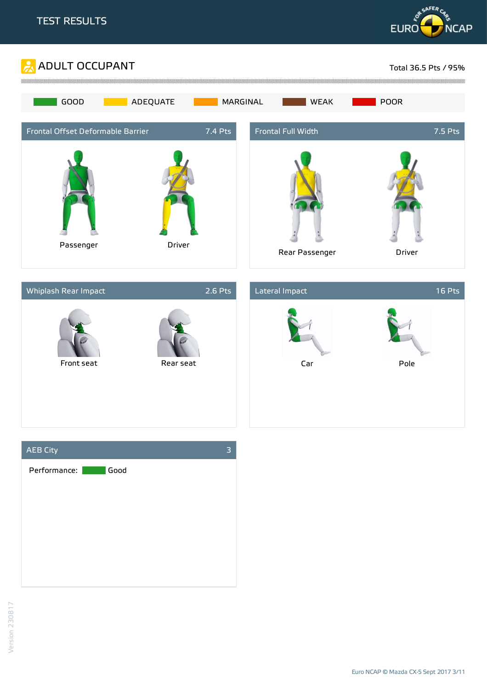







Version 230817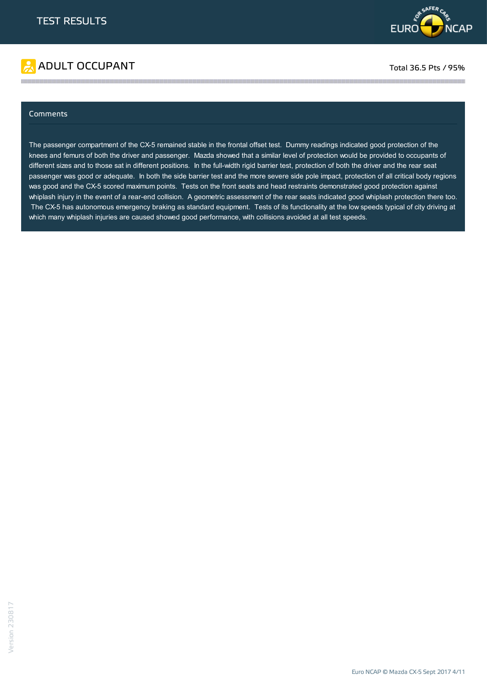

# ADULT OCCUPANT TO A RESERVE TO A RESERVE TO A RESERVE TOTAL 36.5 Pts / 95%

### Comments

The passenger compartment of the CX-5 remained stable in the frontal offset test. Dummy readings indicated good protection of the knees and femurs of both the driver and passenger. Mazda showed that a similar level of protection would be provided to occupants of different sizes and to those sat in different positions. In the full-width rigid barrier test, protection of both the driver and the rear seat passenger was good or adequate. In both the side barrier test and the more severe side pole impact, protection of all critical body regions was good and the CX-5 scored maximum points. Tests on the front seats and head restraints demonstrated good protection against whiplash injury in the event of a rear-end collision. A geometric assessment of the rear seats indicated good whiplash protection there too. The CX-5 has autonomous emergency braking as standard equipment. Tests of its functionality at the low speeds typical of city driving at which many whiplash injuries are caused showed good performance, with collisions avoided at all test speeds.

the contract of the contract of the contract of the contract of the contract of the contract of the contract of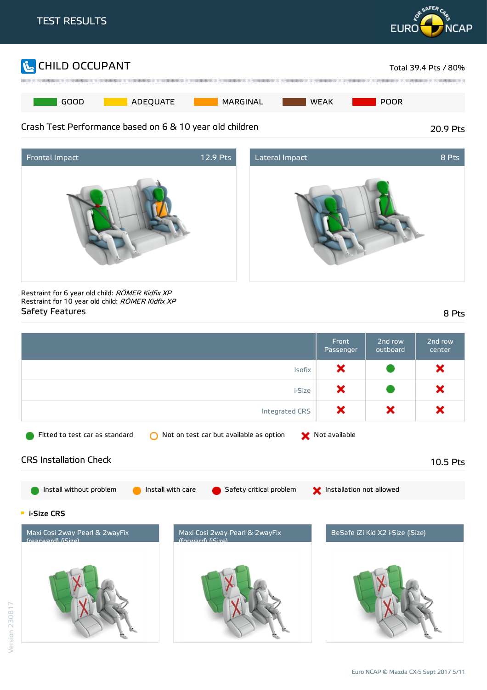





Restraint for 6 year old child: RÖMER Kidfix XP Restraint for 10 year old child: RÖMER Kidfix XP Safety Features 8 Pts

|                                                                                                        | Front<br>Passenger       | 2nd row<br>outboard              | 2nd row<br>center |
|--------------------------------------------------------------------------------------------------------|--------------------------|----------------------------------|-------------------|
| <b>Isofix</b>                                                                                          | ×                        |                                  | ×                 |
| i-Size                                                                                                 | ×                        |                                  | ×                 |
| Integrated CRS                                                                                         | ×                        | ×                                | ×                 |
| Fitted to test car as standard<br>Not on test car but available as option                              | Not available            |                                  |                   |
| <b>CRS Installation Check</b>                                                                          |                          |                                  | 10.5 Pts          |
| Install without problem<br>Install with care<br>Safety critical problem                                | Installation not allowed |                                  |                   |
| <b>E</b> i-Size CRS                                                                                    |                          |                                  |                   |
| Maxi Cosi 2way Pearl & 2wayFix<br>Maxi Cosi 2way Pearl & 2wayFix<br>$((ra)ru)(())$<br>(forward) (Size) |                          | BeSafe iZi Kid X2 i-Size (iSize) |                   |
|                                                                                                        |                          |                                  |                   |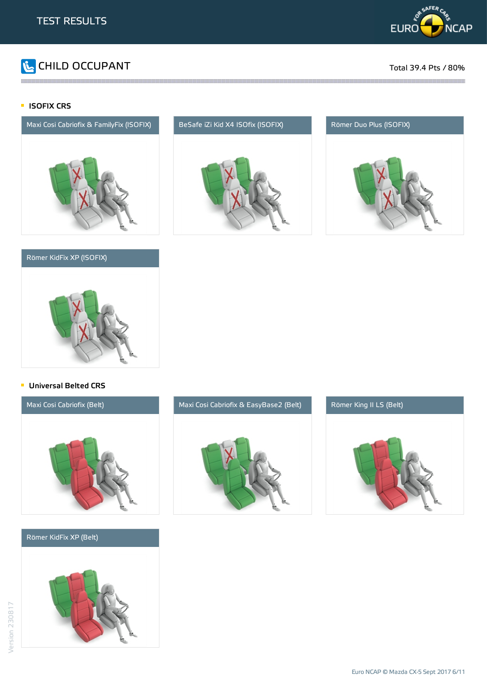

# **The CHILD OCCUPANT** Total 39.4 Pts / 80%

## **ISOFIX CRS**



## Römer KidFix XP (ISOFIX)



the contract of the contract of the contract of the contract of the contract of the contract of the contract of





## **Universal Belted CRS**



### Römer KidFix XP (Belt)





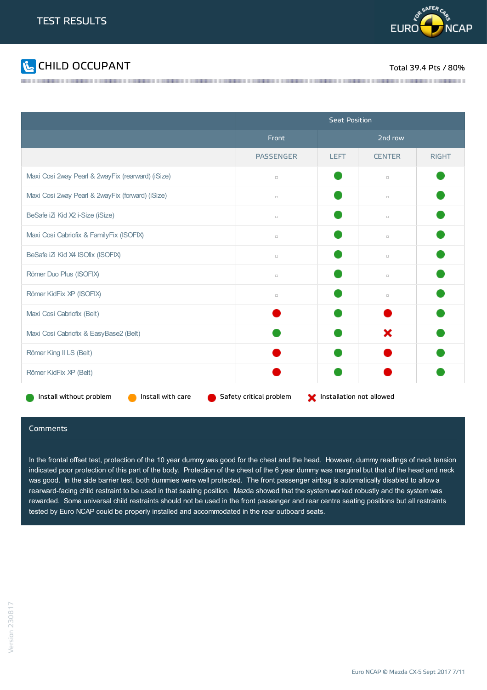



|                                                                                                     | <b>Seat Position</b> |             |               |              |
|-----------------------------------------------------------------------------------------------------|----------------------|-------------|---------------|--------------|
|                                                                                                     | Front                | 2nd row     |               |              |
|                                                                                                     | <b>PASSENGER</b>     | <b>LEFT</b> | <b>CENTER</b> | <b>RIGHT</b> |
| Maxi Cosi 2way Pearl & 2wayFix (rearward) (iSize)                                                   | $\Box$               |             | $\Box$        |              |
| Maxi Cosi 2way Pearl & 2wayFix (forward) (iSize)                                                    | $\Box$               |             | $\Box$        |              |
| BeSafe iZi Kid X2 i-Size (iSize)                                                                    | $\Box$               |             | $\Box$        |              |
| Maxi Cosi Cabriofix & FamilyFix (ISOFIX)                                                            | $\Box$               |             | $\Box$        |              |
| BeSafe iZi Kid X4 ISOfix (ISOFIX)                                                                   | $\Box$               |             | $\Box$        |              |
| Römer Duo Plus (ISOFIX)                                                                             | $\Box$               |             | $\Box$        |              |
| Römer KidFix XP (ISOFIX)                                                                            | $\Box$               |             | $\Box$        |              |
| Maxi Cosi Cabriofix (Belt)                                                                          |                      |             |               |              |
| Maxi Cosi Cabriofix & EasyBase2 (Belt)                                                              |                      |             | ×             |              |
| Römer King II LS (Belt)                                                                             |                      |             |               |              |
| Römer KidFix XP (Belt)                                                                              |                      |             |               |              |
| Install without problem<br>Install with care<br>Safety critical problem<br>Installation not allowed |                      |             |               |              |

and the contract of the contract of the contract of the contract of the contract of the contract of the contract of the contract of the contract of the contract of the contract of the contract of the contract of the contra

### Comments

In the frontal offset test, protection of the 10 year dummy was good for the chest and the head. However, dummy readings of neck tension indicated poor protection of this part of the body. Protection of the chest of the 6 year dummy was marginal but that of the head and neck was good. In the side barrier test, both dummies were well protected. The front passenger airbag is automatically disabled to allow a rearward-facing child restraint to be used in that seating position. Mazda showed that the system worked robustly and the system was rewarded. Some universal child restraints should not be used in the front passenger and rear centre seating positions but all restraints tested by Euro NCAP could be properly installed and accommodated in the rear outboard seats.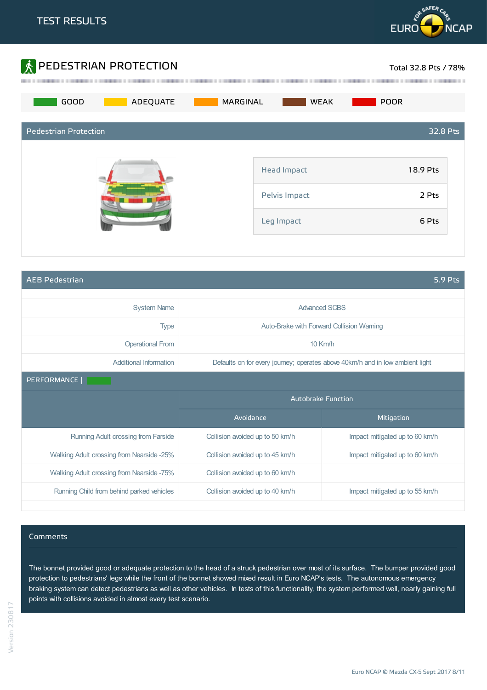



AEB Pedestrian 5.9 Pts

| <b>System Name</b>                        | <b>Advanced SCBS</b>            |                                                                               |
|-------------------------------------------|---------------------------------|-------------------------------------------------------------------------------|
| <b>Type</b>                               |                                 | Auto-Brake with Forward Collision Warning                                     |
| <b>Operational From</b>                   |                                 | $10$ Km/h                                                                     |
| Additional Information                    |                                 | Defaults on for every journey; operates above 40km/h and in low ambient light |
| PERFORMANCE                               |                                 |                                                                               |
|                                           | <b>Autobrake Function</b>       |                                                                               |
|                                           | Avoidance                       | Mitigation                                                                    |
| Running Adult crossing from Farside       | Collision avoided up to 50 km/h | Impact mitigated up to 60 km/h                                                |
| Walking Adult crossing from Nearside -25% | Collision avoided up to 45 km/h | Impact mitigated up to 60 km/h                                                |
| Walking Adult crossing from Nearside -75% | Collision avoided up to 60 km/h |                                                                               |
|                                           |                                 |                                                                               |

### Comments

The bonnet provided good or adequate protection to the head of a struck pedestrian over most of its surface. The bumper provided good protection to pedestrians' legs while the front of the bonnet showed mixed result in Euro NCAP's tests. The autonomous emergency braking system can detect pedestrians as well as other vehicles. In tests of this functionality, the system performed well, nearly gaining full points with collisions avoided in almost every test scenario.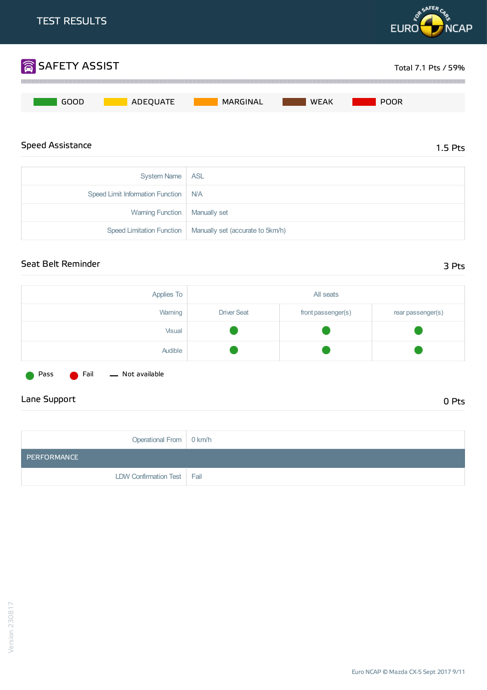

| <b>UVSIGHT VALLIC TIME</b>             |                                                              |
|----------------------------------------|--------------------------------------------------------------|
| Speed Limit Information Function   N/A |                                                              |
| Warning Function   Manually set        |                                                              |
|                                        | Speed Limitation Function   Manually set (accurate to 5km/h) |

## Seat Belt Reminder 3 Pts

| Applies To |                    | All seats          |                   |
|------------|--------------------|--------------------|-------------------|
| Warning    | <b>Driver Seat</b> | front passenger(s) | rear passenger(s) |
| Visual     |                    |                    |                   |
| Audible    |                    |                    |                   |
|            |                    |                    |                   |

Pass **C** Fail — Not available

## Lane Support 0 Pts

| Operational From   0 km/h    |  |
|------------------------------|--|
| PERFORMANCE                  |  |
| LDW Confirmation Test   Fail |  |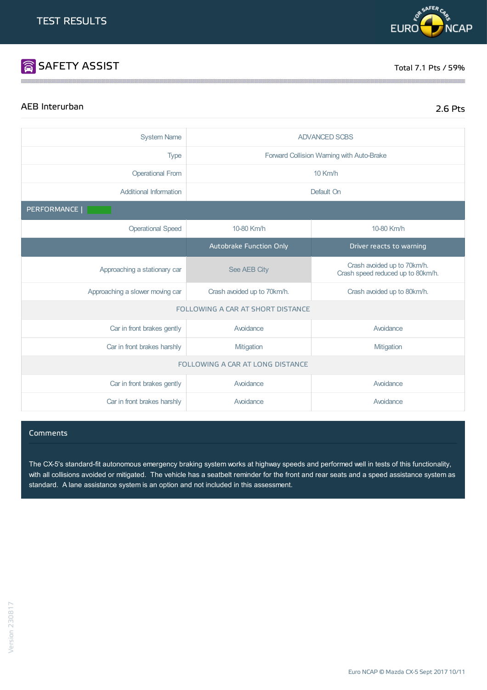# SAFETY ASSIST TOTAL TO A SERVE TO A SERVE TO A SERVE TO A SERVE TO A SERVE TO A SERVE TO A SERVE TO A SERVE TO A SERVE TO A SERVE TO A SERVE TO A SERVE TO A SERVE TO A SERVE TO A SERVE TO A SERVE TO A SERVE TO A SERVE TO A

**PREAFERC** 

**EURO** 

## AEB Interurban 2.6 Pts

**NCAP** 

| <b>System Name</b>               | <b>ADVANCED SCBS</b>                                       |                                                                  |  |
|----------------------------------|------------------------------------------------------------|------------------------------------------------------------------|--|
| <b>Type</b>                      |                                                            | Forward Collision Warning with Auto-Brake                        |  |
| <b>Operational From</b>          |                                                            | $10$ Km/h                                                        |  |
| <b>Additional Information</b>    |                                                            | Default On                                                       |  |
| PERFORMANCE                      |                                                            |                                                                  |  |
| <b>Operational Speed</b>         | 10-80 Km/h                                                 | 10-80 Km/h                                                       |  |
|                                  | Autobrake Function Only                                    | Driver reacts to warning                                         |  |
| Approaching a stationary car     | See AEB City                                               | Crash avoided up to 70km/h.<br>Crash speed reduced up to 80km/h. |  |
| Approaching a slower moving car  | Crash avoided up to 70km/h.<br>Crash avoided up to 80km/h. |                                                                  |  |
|                                  | FOLLOWING A CAR AT SHORT DISTANCE                          |                                                                  |  |
| Car in front brakes gently       | Avoidance                                                  | Avoidance                                                        |  |
| Car in front brakes harshly      | Mitigation                                                 | Mitigation                                                       |  |
| FOLLOWING A CAR AT LONG DISTANCE |                                                            |                                                                  |  |
| Car in front brakes gently       | Avoidance                                                  | Avoidance                                                        |  |
| Car in front brakes harshly      | Avoidance                                                  | Avoidance                                                        |  |

the contract of the contract of the contract of the contract of the contract of the contract of the contract of

### **Comments**

The CX-5's standard-fit autonomous emergency braking system works at highway speeds and performed well in tests of this functionality, with all collisions avoided or mitigated. The vehicle has a seatbelt reminder for the front and rear seats and a speed assistance system as standard. A lane assistance system is an option and not included in this assessment.